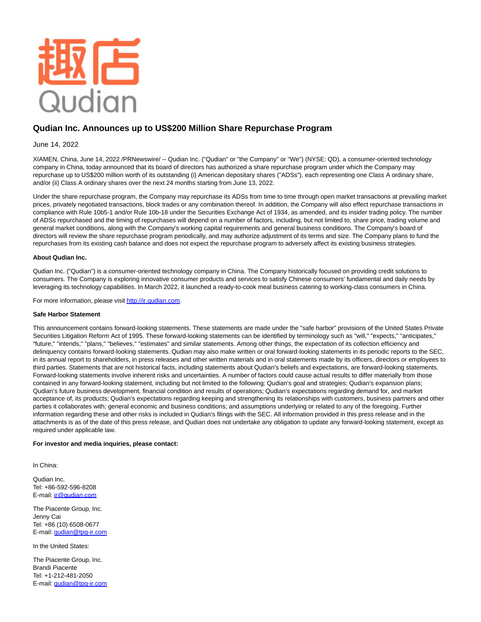

# **Qudian Inc. Announces up to US\$200 Million Share Repurchase Program**

## June 14, 2022

XIAMEN, China, June 14, 2022 /PRNewswire/ -- Qudian Inc. ("Qudian" or "the Company" or "We") (NYSE: QD), a consumer-oriented technology company in China, today announced that its board of directors has authorized a share repurchase program under which the Company may repurchase up to US\$200 million worth of its outstanding (i) American depositary shares ("ADSs"), each representing one Class A ordinary share, and/or (ii) Class A ordinary shares over the next 24 months starting from June 13, 2022.

Under the share repurchase program, the Company may repurchase its ADSs from time to time through open market transactions at prevailing market prices, privately negotiated transactions, block trades or any combination thereof. In addition, the Company will also effect repurchase transactions in compliance with Rule 10b5-1 and/or Rule 10b-18 under the Securities Exchange Act of 1934, as amended, and its insider trading policy. The number of ADSs repurchased and the timing of repurchases will depend on a number of factors, including, but not limited to, share price, trading volume and general market conditions, along with the Company's working capital requirements and general business conditions. The Company's board of directors will review the share repurchase program periodically, and may authorize adjustment of its terms and size. The Company plans to fund the repurchases from its existing cash balance and does not expect the repurchase program to adversely affect its existing business strategies.

### **About Qudian Inc.**

Qudian Inc. ("Qudian") is a consumer-oriented technology company in China. The Company historically focused on providing credit solutions to consumers. The Company is exploring innovative consumer products and services to satisfy Chinese consumers' fundamental and daily needs by leveraging its technology capabilities. In March 2022, it launched a ready-to-cook meal business catering to working-class consumers in China.

For more information, please visi[t http://ir.qudian.com.](http://ir.qudian.com/)

### **Safe Harbor Statement**

This announcement contains forward-looking statements. These statements are made under the "safe harbor" provisions of the United States Private Securities Litigation Reform Act of 1995. These forward-looking statements can be identified by terminology such as "will," "expects," "anticipates," "future," "intends," "plans," "believes," "estimates" and similar statements. Among other things, the expectation of its collection efficiency and delinquency contains forward-looking statements. Qudian may also make written or oral forward-looking statements in its periodic reports to the SEC, in its annual report to shareholders, in press releases and other written materials and in oral statements made by its officers, directors or employees to third parties. Statements that are not historical facts, including statements about Qudian's beliefs and expectations, are forward-looking statements. Forward-looking statements involve inherent risks and uncertainties. A number of factors could cause actual results to differ materially from those contained in any forward-looking statement, including but not limited to the following: Qudian's goal and strategies; Qudian's expansion plans; Qudian's future business development, financial condition and results of operations; Qudian's expectations regarding demand for, and market acceptance of, its products; Qudian's expectations regarding keeping and strengthening its relationships with customers, business partners and other parties it collaborates with; general economic and business conditions; and assumptions underlying or related to any of the foregoing. Further information regarding these and other risks is included in Qudian's filings with the SEC. All information provided in this press release and in the attachments is as of the date of this press release, and Qudian does not undertake any obligation to update any forward-looking statement, except as required under applicable law.

#### **For investor and media inquiries, please contact:**

In China:

Qudian Inc. Tel: +86-592-596-8208 E-mail: *ir@gudian.com* 

The Piacente Group, Inc. Jenny Cai Tel: +86 (10) 6508-0677 E-mail: [qudian@tpg-ir.com](mailto:qudian@tpg-ir.com)

In the United States:

The Piacente Group, Inc. Brandi Piacente Tel: +1-212-481-2050 E-mail: [qudian@tpg-ir.com](mailto:qudian@tpg-ir.com)